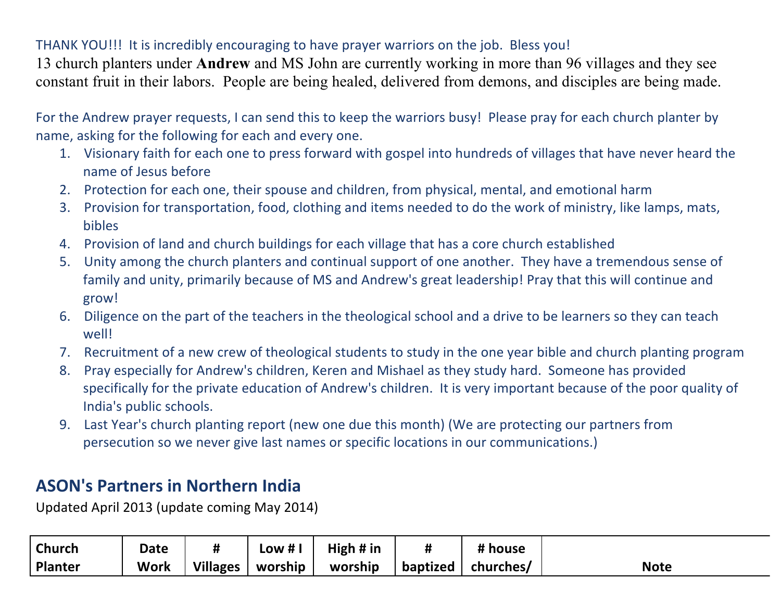## THANK YOU!!! It is incredibly encouraging to have prayer warriors on the job. Bless you!

13 church planters under **Andrew** and MS John are currently working in more than 96 villages and they see constant fruit in their labors. People are being healed, delivered from demons, and disciples are being made.

For the Andrew prayer requests, I can send this to keep the warriors busy! Please pray for each church planter by name, asking for the following for each and every one.

- 1. Visionary faith for each one to press forward with gospel into hundreds of villages that have never heard the name of Jesus before
- 2. Protection for each one, their spouse and children, from physical, mental, and emotional harm
- 3. Provision for transportation, food, clothing and items needed to do the work of ministry, like lamps, mats, bibles
- 4. Provision of land and church buildings for each village that has a core church established
- 5. Unity among the church planters and continual support of one another. They have a tremendous sense of family and unity, primarily because of MS and Andrew's great leadership! Pray that this will continue and grow!
- 6. Diligence on the part of the teachers in the theological school and a drive to be learners so they can teach well!
- 7. Recruitment of a new crew of theological students to study in the one year bible and church planting program
- 8. Pray especially for Andrew's children, Keren and Mishael as they study hard. Someone has provided specifically for the private education of Andrew's children. It is very important because of the poor quality of India's public schools.
- 9. Last Year's church planting report (new one due this month) (We are protecting our partners from persecution so we never give last names or specific locations in our communications.)

## **ASON's Partners in Northern India**

Updated April 2013 (update coming May 2014)

| Church  | <b>Date</b> |                 | Low # I | High $#$ in |          | # house   |             |
|---------|-------------|-----------------|---------|-------------|----------|-----------|-------------|
| Planter | <b>Work</b> | <b>Villages</b> | worship | worship     | baptized | churches/ | <b>Note</b> |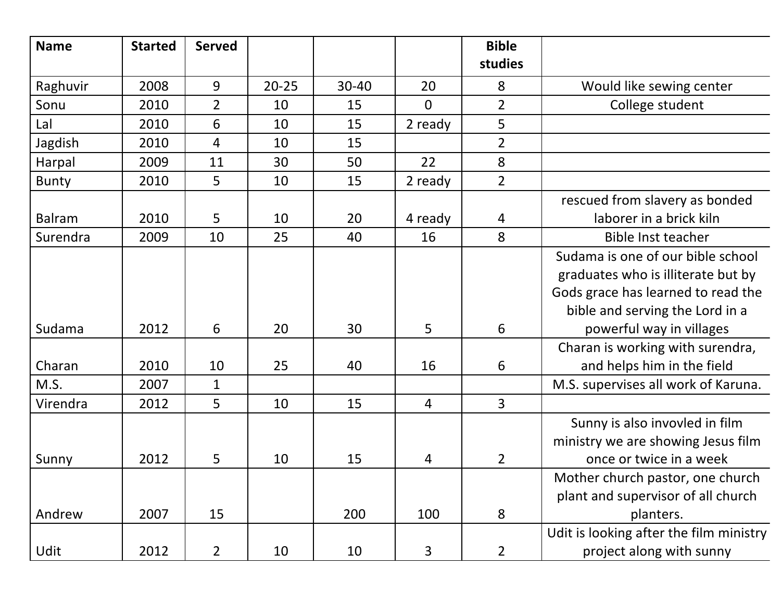| <b>Name</b>   | <b>Started</b> | <b>Served</b>  |           |           |                | <b>Bible</b>   |                                         |
|---------------|----------------|----------------|-----------|-----------|----------------|----------------|-----------------------------------------|
|               |                |                |           |           |                | studies        |                                         |
| Raghuvir      | 2008           | 9              | $20 - 25$ | $30 - 40$ | 20             | 8              | Would like sewing center                |
| Sonu          | 2010           | $\overline{2}$ | 10        | 15        | $\overline{0}$ | $\overline{2}$ | College student                         |
| Lal           | 2010           | 6              | 10        | 15        | 2 ready        | 5              |                                         |
| Jagdish       | 2010           | $\overline{4}$ | 10        | 15        |                | $\overline{2}$ |                                         |
| Harpal        | 2009           | 11             | 30        | 50        | 22             | 8              |                                         |
| <b>Bunty</b>  | 2010           | 5              | 10        | 15        | 2 ready        | $\overline{2}$ |                                         |
|               |                |                |           |           |                |                | rescued from slavery as bonded          |
| <b>Balram</b> | 2010           | 5              | 10        | 20        | 4 ready        | 4              | laborer in a brick kiln                 |
| Surendra      | 2009           | 10             | 25        | 40        | 16             | 8              | <b>Bible Inst teacher</b>               |
|               |                |                |           |           |                |                | Sudama is one of our bible school       |
|               |                |                |           |           |                |                | graduates who is illiterate but by      |
|               |                |                |           |           |                |                | Gods grace has learned to read the      |
|               |                |                |           |           |                |                | bible and serving the Lord in a         |
| Sudama        | 2012           | 6              | 20        | 30        | 5              | 6              | powerful way in villages                |
|               |                |                |           |           |                |                | Charan is working with surendra,        |
| Charan        | 2010           | 10             | 25        | 40        | 16             | 6              | and helps him in the field              |
| M.S.          | 2007           | $\mathbf{1}$   |           |           |                |                | M.S. supervises all work of Karuna.     |
| Virendra      | 2012           | 5              | 10        | 15        | 4              | $\overline{3}$ |                                         |
|               |                |                |           |           |                |                | Sunny is also invovled in film          |
|               |                |                |           |           |                |                | ministry we are showing Jesus film      |
| Sunny         | 2012           | 5              | 10        | 15        | 4              | $\overline{2}$ | once or twice in a week                 |
|               |                |                |           |           |                |                | Mother church pastor, one church        |
|               |                |                |           |           |                |                | plant and supervisor of all church      |
| Andrew        | 2007           | 15             |           | 200       | 100            | 8              | planters.                               |
|               |                |                |           |           |                |                | Udit is looking after the film ministry |
| Udit          | 2012           | $\overline{2}$ | 10        | 10        | $\mathsf{3}$   | $\overline{2}$ | project along with sunny                |